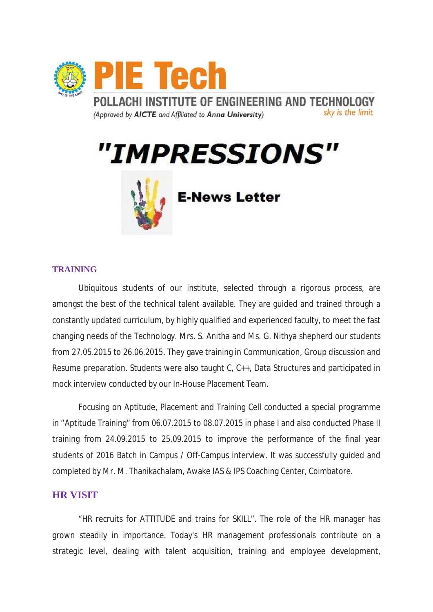

"IMPRESSIONS"



**E-News Letter** 

## **TRAINING**

Ubiquitous students of our institute, selected through a rigorous process, are amongst the best of the technical talent available. They are guided and trained through a constantly updated curriculum, by highly qualified and experienced faculty, to meet the fast changing needs of the Technology. Mrs. S. Anitha and Ms. G. Nithya shepherd our students from 27.05.2015 to 26.06.2015. They gave training in Communication, Group discussion and Resume preparation. Students were also taught C, C++, Data Structures and participated in mock interview conducted by our In-House Placement Team.

Focusing on Aptitude, Placement and Training Cell conducted a special programme in "Aptitude Training" from 06.07.2015 to 08.07.2015 in phase I and also conducted Phase II training from 24.09.2015 to 25.09.2015 to improve the performance of the final year students of 2016 Batch in Campus / Off-Campus interview. It was successfully guided and completed by Mr. M. Thanikachalam, Awake IAS & IPS Coaching Center, Coimbatore.

## **HR VISIT**

"HR recruits for ATTITUDE and trains for SKILL". The role of the HR manager has grown steadily in importance. Today's HR management professionals contribute on a strategic level, dealing with talent acquisition, training and employee development,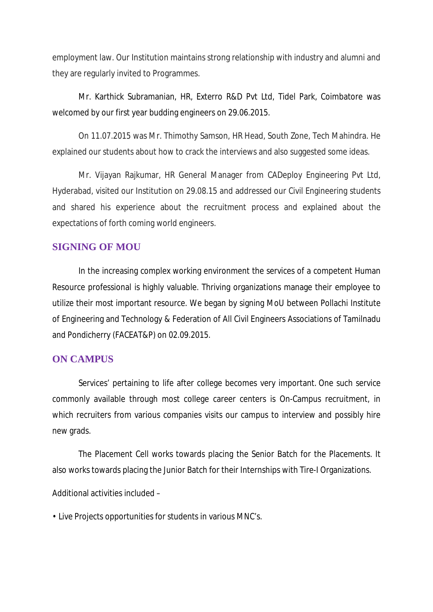employment law. Our Institution maintains strong relationship with industry and alumni and they are regularly invited to Programmes.

Mr. Karthick Subramanian, HR, Exterro R&D Pvt Ltd, Tidel Park, Coimbatore was welcomed by our first year budding engineers on 29.06.2015.

On 11.07.2015 was Mr. Thimothy Samson, HR Head, South Zone, Tech Mahindra. He explained our students about how to crack the interviews and also suggested some ideas.

Mr. Vijayan Rajkumar, HR General Manager from CADeploy Engineering Pvt Ltd, Hyderabad, visited our Institution on 29.08.15 and addressed our Civil Engineering students and shared his experience about the recruitment process and explained about the expectations of forth coming world engineers.

## **SIGNING OF MOU**

In the increasing complex working environment the services of a competent Human Resource professional is highly valuable. Thriving organizations manage their employee to utilize their most important resource. We began by signing MoU between Pollachi Institute of Engineering and Technology & Federation of All Civil Engineers Associations of Tamilnadu and Pondicherry (FACEAT&P) on 02.09.2015.

## **ON CAMPUS**

Services' pertaining to life after college becomes very important. One such service commonly available through most college career centers is On-Campus recruitment, in which recruiters from various companies visits our campus to interview and possibly hire new grads.

The Placement Cell works towards placing the Senior Batch for the Placements. It also works towards placing the Junior Batch for their Internships with Tire-I Organizations.

Additional activities included –

• Live Projects opportunities for students in various MNC's.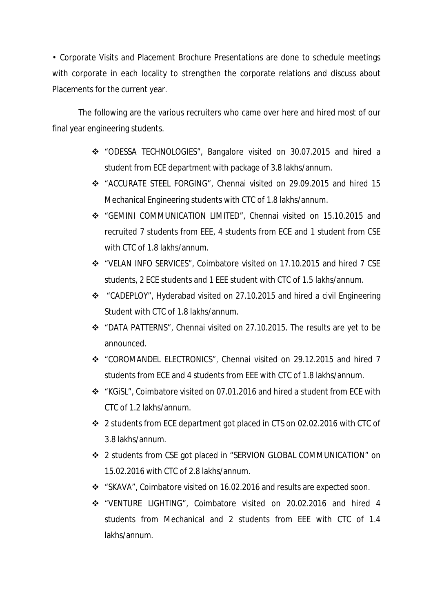• Corporate Visits and Placement Brochure Presentations are done to schedule meetings with corporate in each locality to strengthen the corporate relations and discuss about Placements for the current year.

The following are the various recruiters who came over here and hired most of our final year engineering students.

- v "ODESSA TECHNOLOGIES", Bangalore visited on 30.07.2015 and hired a student from ECE department with package of 3.8 lakhs/annum.
- v "ACCURATE STEEL FORGING", Chennai visited on 29.09.2015 and hired 15 Mechanical Engineering students with CTC of 1.8 lakhs/annum.
- v "GEMINI COMMUNICATION LIMITED", Chennai visited on 15.10.2015 and recruited 7 students from EEE, 4 students from ECE and 1 student from CSE with CTC of 1.8 lakhs/annum.
- v "VELAN INFO SERVICES", Coimbatore visited on 17.10.2015 and hired 7 CSE students, 2 ECE students and 1 EEE student with CTC of 1.5 lakhs/annum.
- v "CADEPLOY", Hyderabad visited on 27.10.2015 and hired a civil Engineering Student with CTC of 1.8 lakhs/annum.
- v "DATA PATTERNS", Chennai visited on 27.10.2015. The results are yet to be announced.
- v "COROMANDEL ELECTRONICS", Chennai visited on 29.12.2015 and hired 7 students from ECE and 4 students from EEE with CTC of 1.8 lakhs/annum.
- v "KGiSL", Coimbatore visited on 07.01.2016 and hired a student from ECE with CTC of 1.2 lakhs/annum.
- v 2 students from ECE department got placed in CTS on 02.02.2016 with CTC of 3.8 lakhs/annum.
- v 2 students from CSE got placed in "SERVION GLOBAL COMMUNICATION" on 15.02.2016 with CTC of 2.8 lakhs/annum.
- v "SKAVA", Coimbatore visited on 16.02.2016 and results are expected soon.
- v "VENTURE LIGHTING", Coimbatore visited on 20.02.2016 and hired 4 students from Mechanical and 2 students from EEE with CTC of 1.4 lakhs/annum.